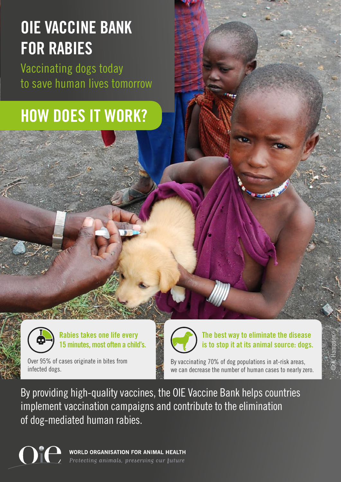## **OIE VACCINE BANK FOR RABIES**

Vaccinating dogs today to save human lives tomorrow

### **HOW DOES IT WORK?**



**Rabies takes one life every 15 minutes, most often a child's.**

Over 95% of cases originate in bites from infected dogs.



**The best way to eliminate the disease is to stop it at its animal source: dogs.** 

© K. Hampson

By vaccinating 70% of dog populations in at-risk areas, we can decrease the number of human cases to nearly zero.

By providing high-quality vaccines, the OIE Vaccine Bank helps countries implement vaccination campaigns and contribute to the elimination of dog-mediated human rabies.

WORLD ORGANISATION FOR ANIMAL HEALTH Protecting animals, preserving our future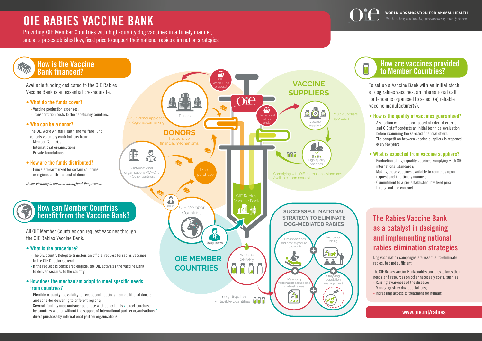## **OIE RABIES VACCINE BANK**

Providing OIE Member Countries with high-quality dog vaccines in a timely manner, and at a pre-established low, fixed price to support their national rabies elimination strategies.

> To set up a Vaccine Bank with an initial stock of dog rabies vaccines, an international call for tender is organised to select (a) reliable vaccine manufacturer(s).



#### **• How is the quality of vaccines guaranteed?**

- A selection committee composed of external experts and OIE staff conducts an initial technical evaluation before examining the selected financial offers.
- The competition between vaccine suppliers is reopened every few years.

#### **• What is expected from vaccine suppliers?**

- Production of high-quality vaccines complying with OIE international standards;
- Making these vaccines available to countries upon request and in a timely manner;
- Commitment to a pre-established low fixed price throughout the contract.

#### **How are vaccines provided to Member Countries?**

#### **www.oie.int/rabies**

### **The Rabies Vaccine Bank as a catalyst in designing and implementing national rabies elimination strategies**

Dog vaccination campaigns are essential to eliminate rabies, but not sufficient.

The OIE Rabies Vaccine Bank enables countries to focus their needs and resources on other necessary costs, such as: - Raising awareness of the disease;

- Managing stray dog populations;
- Increasing access to treatment for humans.

By providing high-quality dog vaccines, the OIE Vaccine Bank helps countries implement

**PER YEAR** with more than **95%** of cases